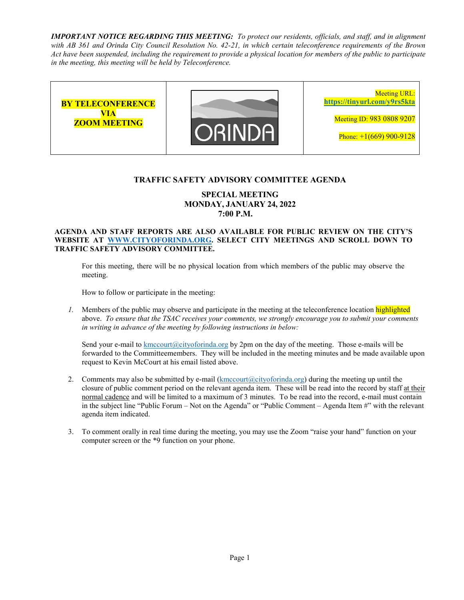*IMPORTANT NOTICE REGARDING THIS MEETING: To protect our residents, officials, and staff, and in alignment with AB 361 and Orinda City Council Resolution No. 42-21, in which certain teleconference requirements of the Brown Act have been suspended, including the requirement to provide a physical location for members of the public to participate in the meeting, this meeting will be held by Teleconference.* 



### **TRAFFIC SAFETY ADVISORY COMMITTEE AGENDA**

### **SPECIAL MEETING MONDAY, JANUARY 24, 2022 7:00 P.M.**

#### **AGENDA AND STAFF REPORTS ARE ALSO AVAILABLE FOR PUBLIC REVIEW ON THE CITY'S WEBSITE AT WWW.CITYOFORINDA.ORG. SELECT CITY MEETINGS AND SCROLL DOWN TO TRAFFIC SAFETY ADVISORY COMMITTEE.**

For this meeting, there will be no physical location from which members of the public may observe the meeting.

How to follow or participate in the meeting:

*1.* Members of the public may observe and participate in the meeting at the teleconference location highlighted above. *To ensure that the TSAC receives your comments, we strongly encourage you to submit your comments in writing in advance of the meeting by following instructions in below:* 

Send your e-mail to kmccourt (a)cityoforinda.org by 2pm on the day of the meeting. Those e-mails will be forwarded to the Committeemembers. They will be included in the meeting minutes and be made available upon request to Kevin McCourt at his email listed above.

- 2. Comments may also be submitted by e-mail  $(kmccourt@cityoforida.org)$  during the meeting up until the closure of public comment period on the relevant agenda item. These will be read into the record by staff at their normal cadence and will be limited to a maximum of 3 minutes. To be read into the record, e-mail must contain in the subject line "Public Forum – Not on the Agenda" or "Public Comment – Agenda Item #" with the relevant agenda item indicated.
- 3. To comment orally in real time during the meeting, you may use the Zoom "raise your hand" function on your computer screen or the \*9 function on your phone.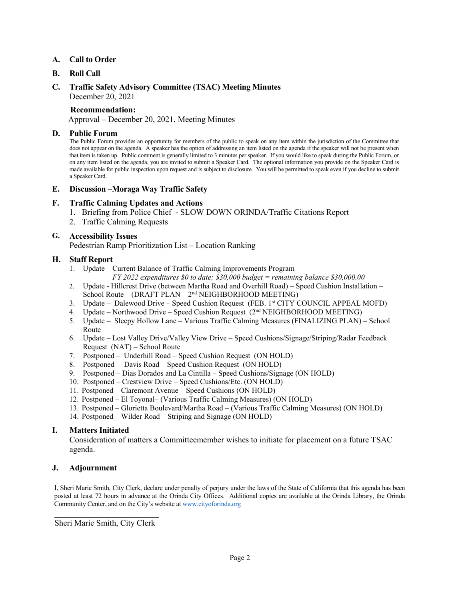#### **A. Call to Order**

- **B. Roll Call**
- **C. Traffic Safety Advisory Committee (TSAC) Meeting Minutes**  December 20, 2021

### **Recommendation:**

Approval – December 20, 2021, Meeting Minutes

#### **D. Public Forum**

The Public Forum provides an opportunity for members of the public to speak on any item within the jurisdiction of the Committee that does not appear on the agenda. A speaker has the option of addressing an item listed on the agenda if the speaker will not be present when that item is taken up. Public comment is generally limited to 3 minutes per speaker. If you would like to speak during the Public Forum, or on any item listed on the agenda, you are invited to submit a Speaker Card. The optional information you provide on the Speaker Card is made available for public inspection upon request and is subject to disclosure. You will be permitted to speak even if you decline to submit a Speaker Card.

#### **E. Discussion –Moraga Way Traffic Safety**

### **F. Traffic Calming Updates and Actions**

- 1. Briefing from Police Chief SLOW DOWN ORINDA/Traffic Citations Report
- 2. Traffic Calming Requests

### **G. Accessibility Issues**

Pedestrian Ramp Prioritization List – Location Ranking

### **H. Staff Report**

- 1. Update Current Balance of Traffic Calming Improvements Program *FY 2022 expenditures \$0 to date; \$30,000 budget = remaining balance \$30,000.00*
- 2. Update Hillcrest Drive (between Martha Road and Overhill Road) Speed Cushion Installation School Route – (DRAFT PLAN – 2nd NEIGHBORHOOD MEETING)
- 3. Update Dalewood Drive Speed Cushion Request (FEB. 1st CITY COUNCIL APPEAL MOFD)
- 4. Update Northwood Drive Speed Cushion Request (2<sup>nd</sup> NEIGHBORHOOD MEETING)
- 5. Update Sleepy Hollow Lane Various Traffic Calming Measures (FINALIZING PLAN) School Route
- 6. Update Lost Valley Drive/Valley View Drive Speed Cushions/Signage/Striping/Radar Feedback Request (NAT) – School Route
- 7. Postponed Underhill Road Speed Cushion Request (ON HOLD)
- 8. Postponed Davis Road Speed Cushion Request (ON HOLD)
- 9. Postponed Dias Dorados and La Cintilla Speed Cushions/Signage (ON HOLD)
- 10. Postponed Crestview Drive Speed Cushions/Etc. (ON HOLD)
- 11. Postponed Claremont Avenue Speed Cushions (ON HOLD)
- 12. Postponed El Toyonal– (Various Traffic Calming Measures) (ON HOLD)
- 13. Postponed Glorietta Boulevard/Martha Road (Various Traffic Calming Measures) (ON HOLD)
- 14. Postponed Wilder Road Striping and Signage (ON HOLD)

#### **I. Matters Initiated**

Consideration of matters a Committeemember wishes to initiate for placement on a future TSAC agenda.

#### **J. Adjournment**

I, Sheri Marie Smith, City Clerk, declare under penalty of perjury under the laws of the State of California that this agenda has been posted at least 72 hours in advance at the Orinda City Offices. Additional copies are available at the Orinda Library, the Orinda Community Center, and on the City's website at www.cityoforinda.org

 $\overline{\phantom{a}}$  , which is a set of the set of the set of the set of the set of the set of the set of the set of the set of the set of the set of the set of the set of the set of the set of the set of the set of the set of th Sheri Marie Smith, City Clerk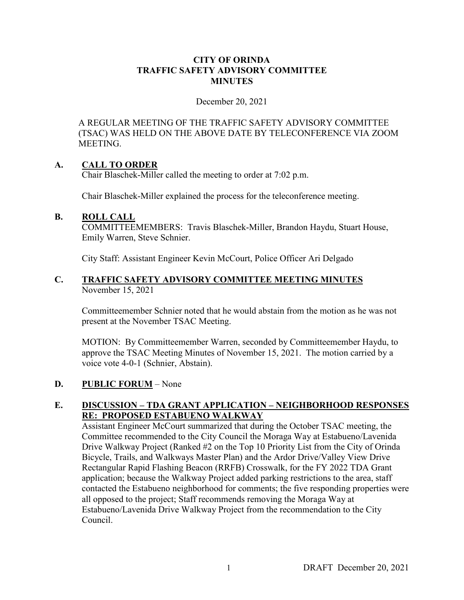### **CITY OF ORINDA TRAFFIC SAFETY ADVISORY COMMITTEE MINUTES**

December 20, 2021

A REGULAR MEETING OF THE TRAFFIC SAFETY ADVISORY COMMITTEE (TSAC) WAS HELD ON THE ABOVE DATE BY TELECONFERENCE VIA ZOOM MEETING.

## **A. CALL TO ORDER**

Chair Blaschek-Miller called the meeting to order at 7:02 p.m.

Chair Blaschek-Miller explained the process for the teleconference meeting.

### **B. ROLL CALL**

COMMITTEEMEMBERS: Travis Blaschek-Miller, Brandon Haydu, Stuart House, Emily Warren, Steve Schnier.

City Staff: Assistant Engineer Kevin McCourt, Police Officer Ari Delgado

## **C. TRAFFIC SAFETY ADVISORY COMMITTEE MEETING MINUTES** November 15, 2021

Committeemember Schnier noted that he would abstain from the motion as he was not present at the November TSAC Meeting.

MOTION: By Committeemember Warren, seconded by Committeemember Haydu, to approve the TSAC Meeting Minutes of November 15, 2021. The motion carried by a voice vote 4-0-1 (Schnier, Abstain).

## **D. PUBLIC FORUM** – None

## **E. DISCUSSION – TDA GRANT APPLICATION – NEIGHBORHOOD RESPONSES RE: PROPOSED ESTABUENO WALKWAY**

Assistant Engineer McCourt summarized that during the October TSAC meeting, the Committee recommended to the City Council the Moraga Way at Estabueno/Lavenida Drive Walkway Project (Ranked #2 on the Top 10 Priority List from the City of Orinda Bicycle, Trails, and Walkways Master Plan) and the Ardor Drive/Valley View Drive Rectangular Rapid Flashing Beacon (RRFB) Crosswalk, for the FY 2022 TDA Grant application; because the Walkway Project added parking restrictions to the area, staff contacted the Estabueno neighborhood for comments; the five responding properties were all opposed to the project; Staff recommends removing the Moraga Way at Estabueno/Lavenida Drive Walkway Project from the recommendation to the City Council.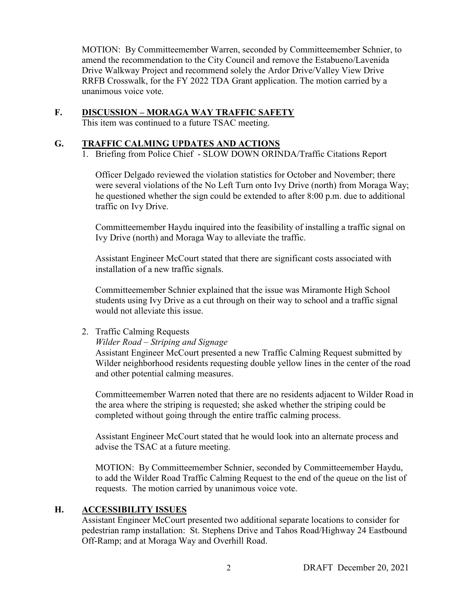MOTION: By Committeemember Warren, seconded by Committeemember Schnier, to amend the recommendation to the City Council and remove the Estabueno/Lavenida Drive Walkway Project and recommend solely the Ardor Drive/Valley View Drive RRFB Crosswalk, for the FY 2022 TDA Grant application. The motion carried by a unanimous voice vote.

## **F. DISCUSSION – MORAGA WAY TRAFFIC SAFETY**

This item was continued to a future TSAC meeting.

### **G. TRAFFIC CALMING UPDATES AND ACTIONS**

1. Briefing from Police Chief - SLOW DOWN ORINDA/Traffic Citations Report

Officer Delgado reviewed the violation statistics for October and November; there were several violations of the No Left Turn onto Ivy Drive (north) from Moraga Way; he questioned whether the sign could be extended to after 8:00 p.m. due to additional traffic on Ivy Drive.

Committeemember Haydu inquired into the feasibility of installing a traffic signal on Ivy Drive (north) and Moraga Way to alleviate the traffic.

Assistant Engineer McCourt stated that there are significant costs associated with installation of a new traffic signals.

Committeemember Schnier explained that the issue was Miramonte High School students using Ivy Drive as a cut through on their way to school and a traffic signal would not alleviate this issue.

### 2. Traffic Calming Requests

### *Wilder Road – Striping and Signage*

Assistant Engineer McCourt presented a new Traffic Calming Request submitted by Wilder neighborhood residents requesting double yellow lines in the center of the road and other potential calming measures.

Committeemember Warren noted that there are no residents adjacent to Wilder Road in the area where the striping is requested; she asked whether the striping could be completed without going through the entire traffic calming process.

Assistant Engineer McCourt stated that he would look into an alternate process and advise the TSAC at a future meeting.

MOTION: By Committeemember Schnier, seconded by Committeemember Haydu, to add the Wilder Road Traffic Calming Request to the end of the queue on the list of requests. The motion carried by unanimous voice vote.

## **H. ACCESSIBILITY ISSUES**

Assistant Engineer McCourt presented two additional separate locations to consider for pedestrian ramp installation: St. Stephens Drive and Tahos Road/Highway 24 Eastbound Off-Ramp; and at Moraga Way and Overhill Road.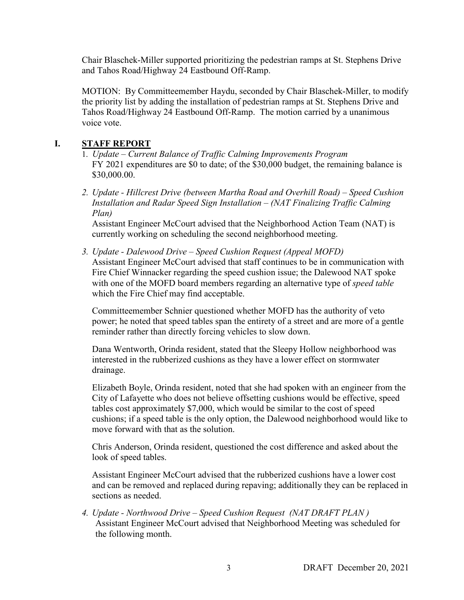Chair Blaschek-Miller supported prioritizing the pedestrian ramps at St. Stephens Drive and Tahos Road/Highway 24 Eastbound Off-Ramp.

MOTION: By Committeemember Haydu, seconded by Chair Blaschek-Miller, to modify the priority list by adding the installation of pedestrian ramps at St. Stephens Drive and Tahos Road/Highway 24 Eastbound Off-Ramp. The motion carried by a unanimous voice vote.

# **I. STAFF REPORT**

- 1. *Update Current Balance of Traffic Calming Improvements Program*  FY 2021 expenditures are \$0 to date; of the \$30,000 budget, the remaining balance is \$30,000.00.
- *2. Update Hillcrest Drive (between Martha Road and Overhill Road) Speed Cushion Installation and Radar Speed Sign Installation – (NAT Finalizing Traffic Calming Plan)*

Assistant Engineer McCourt advised that the Neighborhood Action Team (NAT) is currently working on scheduling the second neighborhood meeting.

*3. Update - Dalewood Drive – Speed Cushion Request (Appeal MOFD)*  Assistant Engineer McCourt advised that staff continues to be in communication with Fire Chief Winnacker regarding the speed cushion issue; the Dalewood NAT spoke with one of the MOFD board members regarding an alternative type of *speed table* which the Fire Chief may find acceptable.

Committeemember Schnier questioned whether MOFD has the authority of veto power; he noted that speed tables span the entirety of a street and are more of a gentle reminder rather than directly forcing vehicles to slow down.

Dana Wentworth, Orinda resident, stated that the Sleepy Hollow neighborhood was interested in the rubberized cushions as they have a lower effect on stormwater drainage.

Elizabeth Boyle, Orinda resident, noted that she had spoken with an engineer from the City of Lafayette who does not believe offsetting cushions would be effective, speed tables cost approximately \$7,000, which would be similar to the cost of speed cushions; if a speed table is the only option, the Dalewood neighborhood would like to move forward with that as the solution.

Chris Anderson, Orinda resident, questioned the cost difference and asked about the look of speed tables.

Assistant Engineer McCourt advised that the rubberized cushions have a lower cost and can be removed and replaced during repaving; additionally they can be replaced in sections as needed.

*4. Update - Northwood Drive – Speed Cushion Request (NAT DRAFT PLAN )*  Assistant Engineer McCourt advised that Neighborhood Meeting was scheduled for the following month.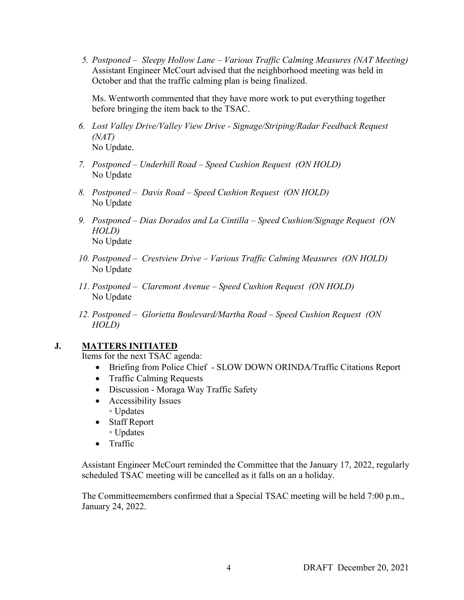*5. Postponed – Sleepy Hollow Lane – Various Traffic Calming Measures (NAT Meeting)*  Assistant Engineer McCourt advised that the neighborhood meeting was held in October and that the traffic calming plan is being finalized.

Ms. Wentworth commented that they have more work to put everything together before bringing the item back to the TSAC.

- *6. Lost Valley Drive/Valley View Drive Signage/Striping/Radar Feedback Request (NAT)* No Update.
- *7. Postponed Underhill Road Speed Cushion Request (ON HOLD)*  No Update
- *8. Postponed Davis Road Speed Cushion Request (ON HOLD)*  No Update
- *9. Postponed Dias Dorados and La Cintilla Speed Cushion/Signage Request (ON HOLD)*  No Update
- *10. Postponed Crestview Drive Various Traffic Calming Measures (ON HOLD)*  No Update
- *11. Postponed Claremont Avenue Speed Cushion Request (ON HOLD)*  No Update
- *12. Postponed Glorietta Boulevard/Martha Road Speed Cushion Request (ON HOLD)*

## **J. MATTERS INITIATED**

Items for the next TSAC agenda:

- Briefing from Police Chief SLOW DOWN ORINDA/Traffic Citations Report
- Traffic Calming Requests
- Discussion Moraga Way Traffic Safety
- Accessibility Issues ◦ Updates
- Staff Report ◦ Updates
- Traffic

Assistant Engineer McCourt reminded the Committee that the January 17, 2022, regularly scheduled TSAC meeting will be cancelled as it falls on an a holiday.

The Committeemembers confirmed that a Special TSAC meeting will be held 7:00 p.m., January 24, 2022.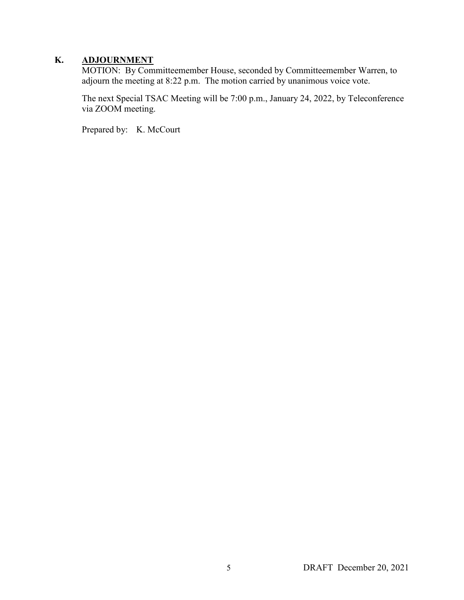# **K. ADJOURNMENT**

MOTION: By Committeemember House, seconded by Committeemember Warren, to adjourn the meeting at 8:22 p.m. The motion carried by unanimous voice vote.

The next Special TSAC Meeting will be 7:00 p.m., January 24, 2022, by Teleconference via ZOOM meeting.

Prepared by: K. McCourt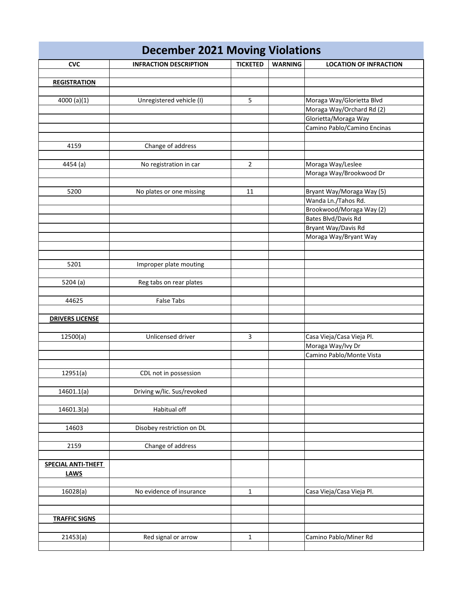| <b>December 2021 Moving Violations</b> |                               |                 |                |                               |
|----------------------------------------|-------------------------------|-----------------|----------------|-------------------------------|
| <b>CVC</b>                             | <b>INFRACTION DESCRIPTION</b> | <b>TICKETED</b> | <b>WARNING</b> | <b>LOCATION OF INFRACTION</b> |
|                                        |                               |                 |                |                               |
| <b>REGISTRATION</b>                    |                               |                 |                |                               |
|                                        |                               |                 |                |                               |
| 4000 (a)(1)                            | Unregistered vehicle (I)      | 5               |                | Moraga Way/Glorietta Blvd     |
|                                        |                               |                 |                | Moraga Way/Orchard Rd (2)     |
|                                        |                               |                 |                | Glorietta/Moraga Way          |
|                                        |                               |                 |                | Camino Pablo/Camino Encinas   |
|                                        |                               |                 |                |                               |
| 4159                                   | Change of address             |                 |                |                               |
|                                        |                               |                 |                |                               |
| 4454 (a)                               | No registration in car        | $\overline{2}$  |                | Moraga Way/Leslee             |
|                                        |                               |                 |                | Moraga Way/Brookwood Dr       |
|                                        |                               |                 |                |                               |
| 5200                                   | No plates or one missing      | 11              |                | Bryant Way/Moraga Way (5)     |
|                                        |                               |                 |                | Wanda Ln./Tahos Rd.           |
|                                        |                               |                 |                | Brookwood/Moraga Way (2)      |
|                                        |                               |                 |                | Bates Blvd/Davis Rd           |
|                                        |                               |                 |                | Bryant Way/Davis Rd           |
|                                        |                               |                 |                | Moraga Way/Bryant Way         |
|                                        |                               |                 |                |                               |
|                                        |                               |                 |                |                               |
| 5201                                   | Improper plate mouting        |                 |                |                               |
|                                        |                               |                 |                |                               |
| 5204 (a)                               | Reg tabs on rear plates       |                 |                |                               |
|                                        |                               |                 |                |                               |
| 44625                                  | <b>False Tabs</b>             |                 |                |                               |
|                                        |                               |                 |                |                               |
| <b>DRIVERS LICENSE</b>                 |                               |                 |                |                               |
|                                        |                               |                 |                |                               |
| 12500(a)                               | Unlicensed driver             | 3               |                | Casa Vieja/Casa Vieja Pl.     |
|                                        |                               |                 |                | Moraga Way/Ivy Dr             |
|                                        |                               |                 |                | Camino Pablo/Monte Vista      |
| 12951(a)                               |                               |                 |                |                               |
|                                        | CDL not in possession         |                 |                |                               |
| 14601.1(a)                             | Driving w/lic. Sus/revoked    |                 |                |                               |
|                                        |                               |                 |                |                               |
| 14601.3(a)                             | Habitual off                  |                 |                |                               |
|                                        |                               |                 |                |                               |
| 14603                                  | Disobey restriction on DL     |                 |                |                               |
|                                        |                               |                 |                |                               |
| 2159                                   | Change of address             |                 |                |                               |
|                                        |                               |                 |                |                               |
| <b>SPECIAL ANTI-THEFT</b>              |                               |                 |                |                               |
| <b>LAWS</b>                            |                               |                 |                |                               |
|                                        |                               |                 |                |                               |
| 16028(a)                               | No evidence of insurance      | $\mathbf{1}$    |                | Casa Vieja/Casa Vieja Pl.     |
|                                        |                               |                 |                |                               |
|                                        |                               |                 |                |                               |
| <b>TRAFFIC SIGNS</b>                   |                               |                 |                |                               |
|                                        |                               |                 |                |                               |
| 21453(a)                               | Red signal or arrow           | $\mathbf{1}$    |                | Camino Pablo/Miner Rd         |
|                                        |                               |                 |                |                               |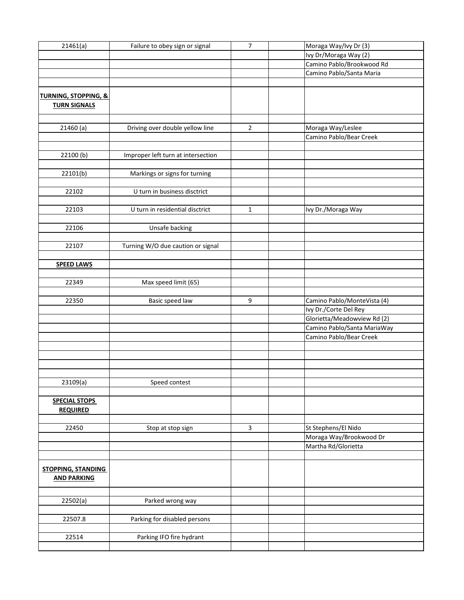| 21461(a)                                               | Failure to obey sign or signal     | 7                       | Moraga Way/Ivy Dr (3)                          |
|--------------------------------------------------------|------------------------------------|-------------------------|------------------------------------------------|
|                                                        |                                    |                         | Ivy Dr/Moraga Way (2)                          |
|                                                        |                                    |                         | Camino Pablo/Brookwood Rd                      |
|                                                        |                                    |                         | Camino Pablo/Santa Maria                       |
|                                                        |                                    |                         |                                                |
| <b>TURNING, STOPPING, &amp;</b><br><b>TURN SIGNALS</b> |                                    |                         |                                                |
|                                                        |                                    |                         |                                                |
| 21460(a)                                               | Driving over double yellow line    | $\overline{2}$          | Moraga Way/Leslee                              |
|                                                        |                                    |                         | Camino Pablo/Bear Creek                        |
|                                                        |                                    |                         |                                                |
| 22100(b)                                               | Improper left turn at intersection |                         |                                                |
|                                                        |                                    |                         |                                                |
| 22101(b)                                               | Markings or signs for turning      |                         |                                                |
| 22102                                                  | U turn in business disctrict       |                         |                                                |
|                                                        |                                    |                         |                                                |
| 22103                                                  | U turn in residential disctrict    | $\mathbf{1}$            | Ivy Dr./Moraga Way                             |
|                                                        |                                    |                         |                                                |
| 22106                                                  | Unsafe backing                     |                         |                                                |
|                                                        |                                    |                         |                                                |
| 22107                                                  | Turning W/O due caution or signal  |                         |                                                |
|                                                        |                                    |                         |                                                |
| <b>SPEED LAWS</b>                                      |                                    |                         |                                                |
|                                                        |                                    |                         |                                                |
| 22349                                                  | Max speed limit (65)               |                         |                                                |
|                                                        |                                    |                         |                                                |
| 22350                                                  | Basic speed law                    | 9                       | Camino Pablo/MonteVista (4)                    |
|                                                        |                                    |                         | Ivy Dr./Corte Del Rey                          |
|                                                        |                                    |                         | Glorietta/Meadowview Rd (2)                    |
|                                                        |                                    |                         | Camino Pablo/Santa MariaWay                    |
|                                                        |                                    |                         | Camino Pablo/Bear Creek                        |
|                                                        |                                    |                         |                                                |
|                                                        |                                    |                         |                                                |
|                                                        |                                    |                         |                                                |
|                                                        |                                    |                         |                                                |
| 23109(a)                                               | Speed contest                      |                         |                                                |
|                                                        |                                    |                         |                                                |
| <b>SPECIAL STOPS</b><br><b>REQUIRED</b>                |                                    |                         |                                                |
|                                                        |                                    | $\overline{\mathbf{3}}$ |                                                |
| 22450                                                  | Stop at stop sign                  |                         | St Stephens/El Nido<br>Moraga Way/Brookwood Dr |
|                                                        |                                    |                         | Martha Rd/Glorietta                            |
|                                                        |                                    |                         |                                                |
| <b>STOPPING, STANDING</b><br><b>AND PARKING</b>        |                                    |                         |                                                |
|                                                        |                                    |                         |                                                |
| 22502(a)                                               | Parked wrong way                   |                         |                                                |
|                                                        |                                    |                         |                                                |
| 22507.8                                                | Parking for disabled persons       |                         |                                                |
| 22514                                                  | Parking IFO fire hydrant           |                         |                                                |
|                                                        |                                    |                         |                                                |
|                                                        |                                    |                         |                                                |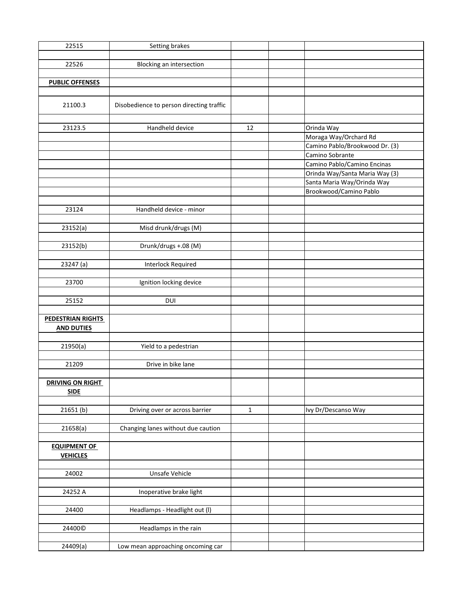| 22515                    | Setting brakes                           |              |                                |
|--------------------------|------------------------------------------|--------------|--------------------------------|
|                          |                                          |              |                                |
| 22526                    | <b>Blocking an intersection</b>          |              |                                |
|                          |                                          |              |                                |
| <b>PUBLIC OFFENSES</b>   |                                          |              |                                |
|                          |                                          |              |                                |
|                          |                                          |              |                                |
| 21100.3                  | Disobedience to person directing traffic |              |                                |
|                          |                                          |              |                                |
| 23123.5                  | Handheld device                          | 12           | Orinda Way                     |
|                          |                                          |              | Moraga Way/Orchard Rd          |
|                          |                                          |              | Camino Pablo/Brookwood Dr. (3) |
|                          |                                          |              | Camino Sobrante                |
|                          |                                          |              | Camino Pablo/Camino Encinas    |
|                          |                                          |              | Orinda Way/Santa Maria Way (3) |
|                          |                                          |              | Santa Maria Way/Orinda Way     |
|                          |                                          |              | Brookwood/Camino Pablo         |
|                          |                                          |              |                                |
| 23124                    | Handheld device - minor                  |              |                                |
|                          |                                          |              |                                |
| 23152(a)                 | Misd drunk/drugs (M)                     |              |                                |
|                          |                                          |              |                                |
|                          |                                          |              |                                |
| 23152(b)                 | Drunk/drugs +.08 (M)                     |              |                                |
|                          |                                          |              |                                |
| 23247 (a)                | <b>Interlock Required</b>                |              |                                |
|                          |                                          |              |                                |
| 23700                    | Ignition locking device                  |              |                                |
|                          |                                          |              |                                |
| 25152                    | <b>DUI</b>                               |              |                                |
|                          |                                          |              |                                |
| <b>PEDESTRIAN RIGHTS</b> |                                          |              |                                |
| <b>AND DUTIES</b>        |                                          |              |                                |
|                          |                                          |              |                                |
| 21950(a)                 | Yield to a pedestrian                    |              |                                |
|                          | Drive in bike lane                       |              |                                |
| 21209                    |                                          |              |                                |
|                          |                                          |              |                                |
| <b>DRIVING ON RIGHT</b>  |                                          |              |                                |
| <b>SIDE</b>              |                                          |              |                                |
|                          |                                          |              |                                |
| 21651(b)                 | Driving over or across barrier           | $\mathbf{1}$ | Ivy Dr/Descanso Way            |
|                          | Changing lanes without due caution       |              |                                |
| 21658(a)                 |                                          |              |                                |
|                          |                                          |              |                                |
| <b>EQUIPMENT OF</b>      |                                          |              |                                |
| <b>VEHICLES</b>          |                                          |              |                                |
| 24002                    |                                          |              |                                |
|                          | Unsafe Vehicle                           |              |                                |
|                          |                                          |              |                                |
| 24252 A                  | Inoperative brake light                  |              |                                |
|                          |                                          |              |                                |
| 24400                    | Headlamps - Headlight out (I)            |              |                                |
|                          |                                          |              |                                |
| 24400©                   | Headlamps in the rain                    |              |                                |
|                          |                                          |              |                                |
| 24409(a)                 | Low mean approaching oncoming car        |              |                                |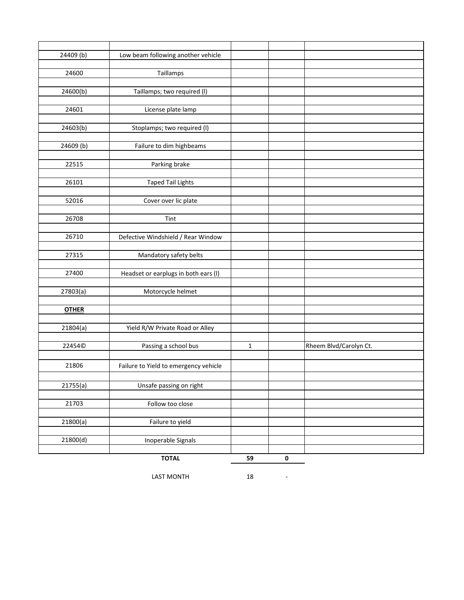| 24409 (b)    | Low beam following another vehicle    |              |           |                        |
|--------------|---------------------------------------|--------------|-----------|------------------------|
|              |                                       |              |           |                        |
| 24600        | Taillamps                             |              |           |                        |
|              |                                       |              |           |                        |
| 24600(b)     | Taillamps; two required (I)           |              |           |                        |
|              |                                       |              |           |                        |
| 24601        | License plate lamp                    |              |           |                        |
|              |                                       |              |           |                        |
| 24603(b)     | Stoplamps; two required (I)           |              |           |                        |
|              |                                       |              |           |                        |
| 24609 (b)    | Failure to dim highbeams              |              |           |                        |
|              |                                       |              |           |                        |
| 22515        | Parking brake                         |              |           |                        |
|              |                                       |              |           |                        |
| 26101        | <b>Taped Tail Lights</b>              |              |           |                        |
|              |                                       |              |           |                        |
| 52016        | Cover over lic plate                  |              |           |                        |
|              |                                       |              |           |                        |
| 26708        | Tint                                  |              |           |                        |
|              |                                       |              |           |                        |
| 26710        | Defective Windshield / Rear Window    |              |           |                        |
| 27315        | Mandatory safety belts                |              |           |                        |
|              |                                       |              |           |                        |
| 27400        | Headset or earplugs in both ears (I)  |              |           |                        |
|              |                                       |              |           |                        |
| 27803(a)     | Motorcycle helmet                     |              |           |                        |
|              |                                       |              |           |                        |
| <b>OTHER</b> |                                       |              |           |                        |
|              |                                       |              |           |                        |
| 21804(a)     | Yield R/W Private Road or Alley       |              |           |                        |
|              |                                       |              |           |                        |
| 22454©       | Passing a school bus                  | $\mathbf{1}$ |           | Rheem Blvd/Carolyn Ct. |
|              |                                       |              |           |                        |
| 21806        | Failure to Yield to emergency vehicle |              |           |                        |
|              |                                       |              |           |                        |
| 21755(a)     | Unsafe passing on right               |              |           |                        |
|              |                                       |              |           |                        |
| 21703        | Follow too close                      |              |           |                        |
|              |                                       |              |           |                        |
| 21800(a)     | Failure to yield                      |              |           |                        |
|              |                                       |              |           |                        |
| 21800(d)     | Inoperable Signals                    |              |           |                        |
|              |                                       |              |           |                        |
|              | <b>TOTAL</b>                          | 59           | $\pmb{0}$ |                        |

LAST MONTH 18 -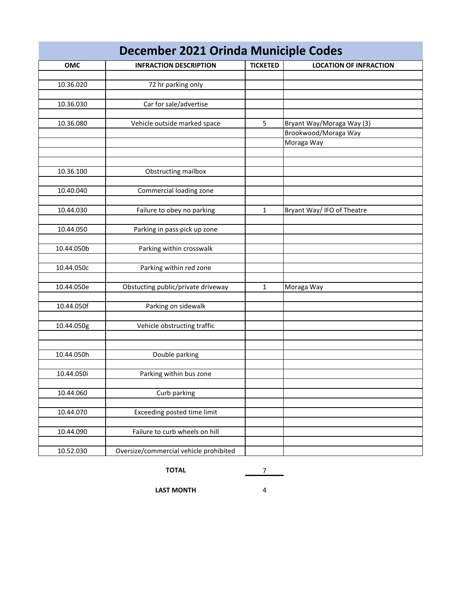| December 2021 Orinda Municiple Codes |                                        |                 |                               |  |  |
|--------------------------------------|----------------------------------------|-----------------|-------------------------------|--|--|
| OMC                                  | <b>INFRACTION DESCRIPTION</b>          | <b>TICKETED</b> | <b>LOCATION OF INFRACTION</b> |  |  |
|                                      |                                        |                 |                               |  |  |
| 10.36.020                            | 72 hr parking only                     |                 |                               |  |  |
|                                      |                                        |                 |                               |  |  |
| 10.36.030                            | Car for sale/advertise                 |                 |                               |  |  |
|                                      |                                        |                 |                               |  |  |
| 10.36.080                            | Vehicle outside marked space           | 5               | Bryant Way/Moraga Way (3)     |  |  |
|                                      |                                        |                 | Brookwood/Moraga Way          |  |  |
|                                      |                                        |                 | Moraga Way                    |  |  |
|                                      |                                        |                 |                               |  |  |
| 10.36.100                            |                                        |                 |                               |  |  |
|                                      | Obstructing mailbox                    |                 |                               |  |  |
| 10.40.040                            | Commercial loading zone                |                 |                               |  |  |
|                                      |                                        |                 |                               |  |  |
| 10.44.030                            | Failure to obey no parking             | 1               | Bryant Way/ IFO of Theatre    |  |  |
|                                      |                                        |                 |                               |  |  |
| 10.44.050                            | Parking in pass pick up zone           |                 |                               |  |  |
|                                      |                                        |                 |                               |  |  |
| 10.44.050b                           | Parking within crosswalk               |                 |                               |  |  |
|                                      |                                        |                 |                               |  |  |
| 10.44.050c                           | Parking within red zone                |                 |                               |  |  |
|                                      |                                        |                 |                               |  |  |
| 10.44.050e                           | Obstucting public/private driveway     | 1               | Moraga Way                    |  |  |
|                                      |                                        |                 |                               |  |  |
| 10.44.050f                           | Parking on sidewalk                    |                 |                               |  |  |
|                                      |                                        |                 |                               |  |  |
| 10.44.050g                           | Vehicle obstructing traffic            |                 |                               |  |  |
|                                      |                                        |                 |                               |  |  |
| 10.44.050h                           | Double parking                         |                 |                               |  |  |
|                                      |                                        |                 |                               |  |  |
| 10.44.050i                           | Parking within bus zone                |                 |                               |  |  |
|                                      |                                        |                 |                               |  |  |
| 10.44.060                            | Curb parking                           |                 |                               |  |  |
|                                      |                                        |                 |                               |  |  |
| 10.44.070                            | Exceeding posted time limit            |                 |                               |  |  |
|                                      |                                        |                 |                               |  |  |
| 10.44.090                            | Failure to curb wheels on hill         |                 |                               |  |  |
|                                      |                                        |                 |                               |  |  |
| 10.52.030                            | Oversize/commercial vehicle prohibited |                 |                               |  |  |

**TOTAL** 7

**LAST MONTH** 4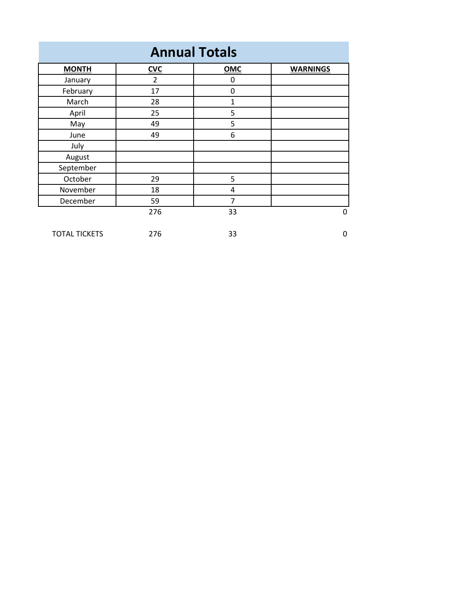| <b>Annual Totals</b> |                |                |                 |
|----------------------|----------------|----------------|-----------------|
| <b>MONTH</b>         | <b>CVC</b>     | <b>OMC</b>     | <b>WARNINGS</b> |
| January              | $\overline{2}$ | 0              |                 |
| February             | 17             | $\mathbf 0$    |                 |
| March                | 28             | 1              |                 |
| April                | 25             | 5              |                 |
| May                  | 49             | 5              |                 |
| June                 | 49             | 6              |                 |
| July                 |                |                |                 |
| August               |                |                |                 |
| September            |                |                |                 |
| October              | 29             | 5              |                 |
| November             | 18             | 4              |                 |
| December             | 59             | $\overline{7}$ |                 |
|                      | 276            | 33             | 0               |
| <b>TOTAL TICKETS</b> | 276            | 33             | 0               |